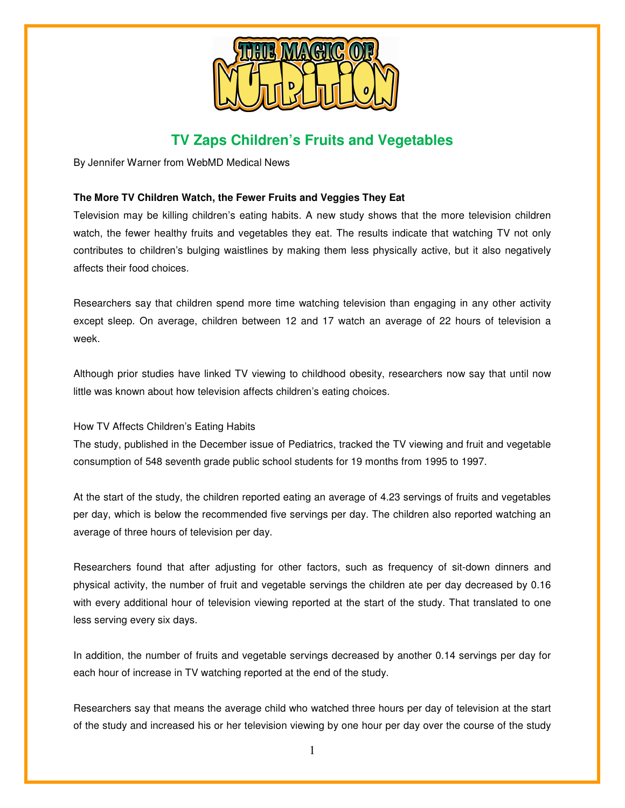

## **TV Zaps Children's Fruits and Vegetables**

By Jennifer Warner from WebMD Medical News

## **The More TV Children Watch, the Fewer Fruits and Veggies They Eat**

Television may be killing children's eating habits. A new study shows that the more television children watch, the fewer healthy fruits and vegetables they eat. The results indicate that watching TV not only contributes to children's bulging waistlines by making them less physically active, but it also negatively affects their food choices.

Researchers say that children spend more time watching television than engaging in any other activity except sleep. On average, children between 12 and 17 watch an average of 22 hours of television a week.

Although prior studies have linked TV viewing to childhood obesity, researchers now say that until now little was known about how television affects children's eating choices.

How TV Affects Children's Eating Habits

The study, published in the December issue of Pediatrics, tracked the TV viewing and fruit and vegetable consumption of 548 seventh grade public school students for 19 months from 1995 to 1997.

At the start of the study, the children reported eating an average of 4.23 servings of fruits and vegetables per day, which is below the recommended five servings per day. The children also reported watching an average of three hours of television per day.

Researchers found that after adjusting for other factors, such as frequency of sit-down dinners and physical activity, the number of fruit and vegetable servings the children ate per day decreased by 0.16 with every additional hour of television viewing reported at the start of the study. That translated to one less serving every six days.

In addition, the number of fruits and vegetable servings decreased by another 0.14 servings per day for each hour of increase in TV watching reported at the end of the study.

Researchers say that means the average child who watched three hours per day of television at the start of the study and increased his or her television viewing by one hour per day over the course of the study